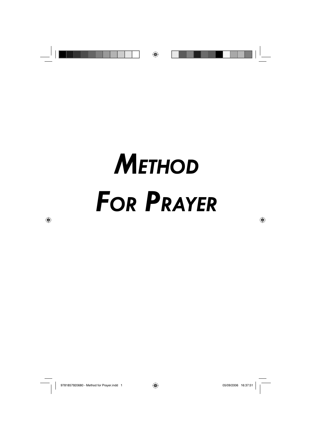

# *METHOD FOR PRAYER*

9781857920680 - Method for Prayer.indd 1 781857920680 05/09/2006 16:37:51 5/09/2006

⊕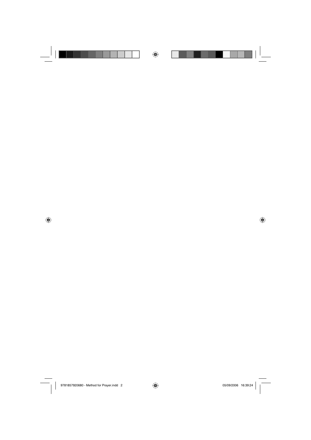$\bigoplus$ 

 $\bigoplus$ 

9781857920680 - Method for Prayer.indd 2 781857920680 - Method for Prayer.indd 2 78185792066 16:39:24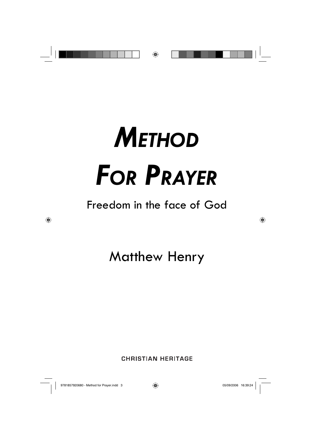

# *METHOD FOR PRAYER*

### Freedom in the face of God

## Matthew Henry

**CHRISTIAN HERITAGE** 

9781857920680 - Method for Prayer.indd 3 78185792066 16:39:24  $\sqrt{ }$ 

⊕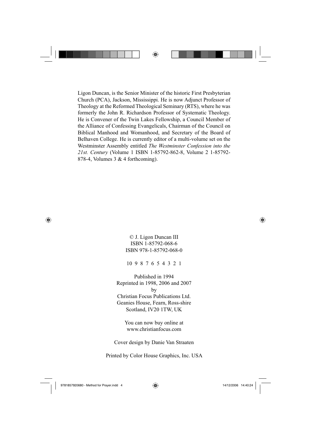

Ligon Duncan, is the Senior Minister of the historic First Presbyterian Church (PCA), Jackson, Mississippi. He is now Adjunct Professor of Theology at the Reformed Theological Seminary (RTS), where he was formerly the John R. Richardson Professor of Systematic Theology. He is Convener of the Twin Lakes Fellowship, a Council Member of the Alliance of Confessing Evangelicals, Chairman of the Council on Biblical Manhood and Womanhood, and Secretary of the Board of Belhaven College. He is currently editor of a multi-volume set on the Westminster Assembly entitled *The Westminster Confession into the 21st. Century* (Volume 1 ISBN 1-85792-862-8, Volume 2 1-85792- 878-4, Volumes 3 & 4 forthcoming).



© J. Ligon Duncan III ISBN 1-85792-068-6 ISBN 978-1-85792-068-0

10 9 8 7 6 5 4 3 2 1

Published in 1994 Reprinted in 1998, 2006 and 2007 by Christian Focus Publications Ltd. Geanies House, Fearn, Ross-shire Scotland, IV20 1TW, UK

> You can now buy online at www.christianfocus.com

Cover design by Danie Van Straaten

Printed by Color House Graphics, Inc. USA

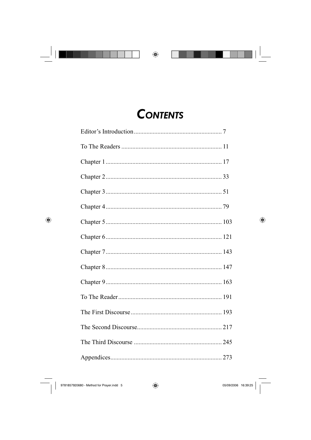

### **CONTENTS**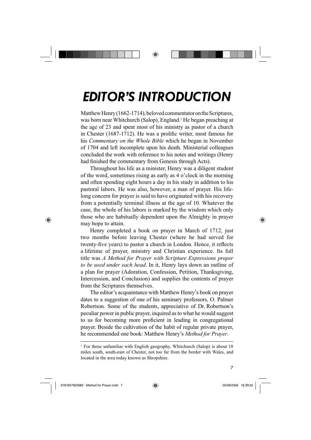## *EDITOR'S INTRODUCTION*

⊕

Matthew Henry (1662-1714), beloved commentator on the Scriptures, was born near Whitchurch (Salop), England.<sup>1</sup> He began preaching at the age of 23 and spent most of his ministry as pastor of a church in Chester (1687-1712). He was a prolific writer, most famous for his *Commentary on the Whole Bible* which he began in November of 1704 and left incomplete upon his death. Ministerial colleagues concluded the work with reference to his notes and writings (Henry had finished the commentary from Genesis through Acts).

Throughout his life as a minister, Henry was a diligent student of the word, sometimes rising as early as 4 o'clock in the morning and often spending eight hours a day in his study in addition to his pastoral labors. He was also, however, a man of prayer. His lifelong concern for prayer is said to have originated with his recovery from a potentially terminal illness at the age of 10. Whatever the case, the whole of his labors is marked by the wisdom which only those who are habitually dependent upon the Almighty in prayer may hope to attain.

Henry completed a book on prayer in March of 1712, just two months before leaving Chester (where he had served for twenty-five years) to pastor a church in London. Hence, it reflects a lifetime of prayer, ministry and Christian experience. Its full title was *A Method for Prayer with Scripture Expressions proper to be used under each head*. In it, Henry lays down an outline of a plan for prayer (Adoration, Confession, Petition, Thanksgiving, Intercession, and Conclusion) and supplies the contents of prayer from the Scriptures themselves.

The editor's acquaintance with Matthew Henry's book on prayer dates to a suggestion of one of his seminary professors, O. Palmer Robertson. Some of the students, appreciative of Dr. Robertson's peculiar power in public prayer, inquired as to what he would suggest to us for becoming more proficient in leading in congregational prayer. Beside the cultivation of the habit of regular private prayer, he recommended one book: Matthew Henry's *Method for Prayer*.

⊕

⊕

<sup>&</sup>lt;sup>1</sup> For those unfamiliar with English geography, Whitchurch (Salop) is about 18 miles south, south-east of Chester, not too far from the border with Wales, and located in the area today known as Shropshire.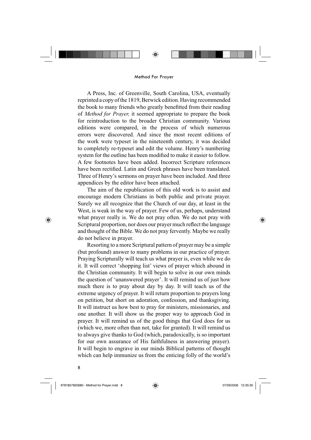

A Press, Inc. of Greenville, South Carolina, USA, eventually reprinted a copy of the 1819, Berwick edition. Having recommended the book to many friends who greatly benefitted from their reading of *Method for Prayer,* it seemed appropriate to prepare the book for reintroduction to the broader Christian community. Various editions were compared, in the process of which numerous errors were discovered. And since the most recent editions of the work were typeset in the nineteenth century, it was decided to completely re-typeset and edit the volume. Henry's numbering system for the outline has been modified to make it easier to follow. A few footnotes have been added. Incorrect Scripture references have been rectified. Latin and Greek phrases have been translated. Three of Henry's sermons on prayer have been included. And three appendices by the editor have been attached.

The aim of the republication of this old work is to assist and encourage modern Christians in both public and private prayer. Surely we all recognize that the Church of our day, at least in the West, is weak in the way of prayer. Few of us, perhaps, understand what prayer really is. We do not pray often. We do not pray with Scriptural proportion, nor does our prayer much reflect the language and thought of the Bible. We do not pray fervently. Maybe we really do not believe in prayer.

Resorting to a more Scriptural pattern of prayer may be a simple (but profound) answer to many problems in our practice of prayer. Praying Scripturally will teach us what prayer is, even while we do it. It will correct 'shopping list' views of prayer which abound in the Christian community. It will begin to solve in our own minds the question of 'unanswered prayer'. It will remind us of just how much there is to pray about day by day. It will teach us of the extreme urgency of prayer. It will return proportion to prayers long on petition, but short on adoration, confession, and thanksgiving. It will instruct us how best to pray for ministers, missionaries, and one another. It will show us the proper way to approach God in prayer. It will remind us of the good things that God does for us (which we, more often than not, take for granted). It will remind us to always give thanks to God (which, paradoxically, is so important for our own assurance of His faithfulness in answering prayer). It will begin to engrave in our minds Biblical patterns of thought which can help immunize us from the enticing folly of the world's

⊕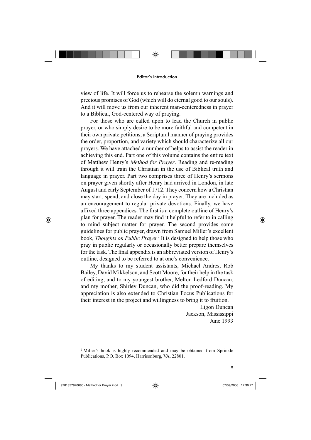

#### Editor's Introduction

view of life. It will force us to rehearse the solemn warnings and precious promises of God (which will do eternal good to our souls). And it will move us from our inherent man-centeredness in prayer to a Biblical, God-centered way of praying.

For those who are called upon to lead the Church in public prayer, or who simply desire to be more faithful and competent in their own private petitions, a Scriptural manner of praying provides the order, proportion, and variety which should characterize all our prayers. We have attached a number of helps to assist the reader in achieving this end. Part one of this volume contains the entire text of Matthew Henry's *Method for Prayer*. Reading and re-reading through it will train the Christian in the use of Biblical truth and language in prayer. Part two comprises three of Henry's sermons on prayer given shortly after Henry had arrived in London, in late August and early September of 1712. They concern how a Christian may start, spend, and close the day in prayer. They are included as an encouragement to regular private devotions. Finally, we have affixed three appendices. The first is a complete outline of Henry's plan for prayer. The reader may find it helpful to refer to in calling to mind subject matter for prayer. The second provides some guidelines for public prayer, drawn from Samuel Miller's excellent book, *Thoughts on Public Prayer.*<sup>2</sup> It is designed to help those who pray in public regularly or occasionally better prepare themselves for the task. The final appendix is an abbreviated version of Henry's outline, designed to be referred to at one's convenience.

My thanks to my student assistants, Michael Andres, Rob Bailey, David Mikkelson, and Scott Moore, for their help in the task of editing, and to my youngest brother, Melton Ledford Duncan, and my mother, Shirley Duncan, who did the proof-reading. My appreciation is also extended to Christian Focus Publications for their interest in the project and willingness to bring it to fruition.

> Ligon Duncan Jackson, Mississippi June 1993

<sup>2</sup> Miller's book is highly recommended and may be obtained from Sprinkle Publications, P.O. Box 1094, Harrisonburg, VA, 22801.

9781857920680 - Method for Prayer.indd 9 78185792066 12:36:27

⊕

⊕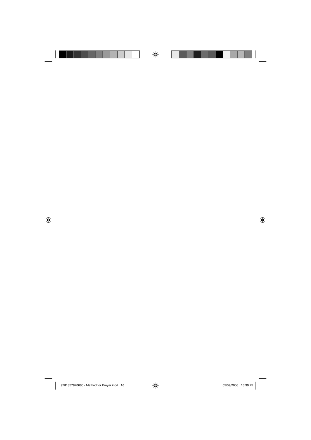$\bigoplus$ 

 $\bigoplus$ 

9781857920680 - Method for Prayer.indd 10 05/09/2006 16:39:25 7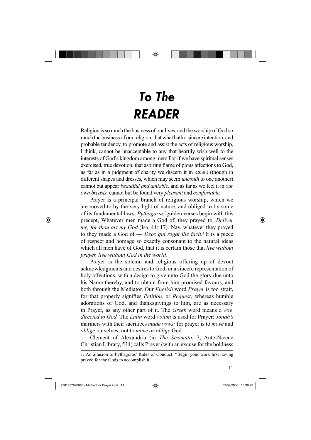## *To The READER*

⊕

Religion is so much the business of our lives, and the worship of God so much the business of our religion, that what hath a sincere intention, and probable tendency, to promote and assist the acts of religious worship, I think, cannot be unacceptable to any that heartily wish well to the interests of God's kingdom among men: For if we have spiritual senses exercised, true devotion, that aspiring flame of pious affections to God, as far as in a judgment of charity we discern it in *others* (though in different shapes and dresses, which may seem *uncouth* to one another) cannot but appear *beautiful and amiable,* and as far as we feel it in *our own breasts,* cannot but be found very *pleasant* and *comfortable.*

Prayer is a principal branch of religious worship, which we are moved to by the very light of nature, and obliged to by some of its fundamental laws. *Pythagoras'* golden verses begin with this precept, Whatever men made a God of, they prayed to, *Deliver me, for thou art my God* (Isa. 44: 17). Nay, whatever they prayed to they made a God of — *Deos qui rogat ille facit.*<sup>1</sup> It is a piece of respect and homage so exactly consonant to the natural ideas which all men have of God, that it is certain those that *live without prayer, live without God in the world.*

Prayer is the solemn and religious offering up of devout acknowledgments and desires to God, or a sincere representation of holy affections, with a design to give unto God the glory due unto his Name thereby, and to obtain from him promised favours, and both through the Mediator. Our *English* word *Prayer* is too strait, for that properly signifies *Petition*, or *Request*; whereas humble adorations of God, and thanksgivings to him, are as necessary in Prayer, as any other part of it. The *Greek* word means a *Vow directed to God.* The *Latin* word *Votum* is used for Prayer: *Jonah's*  mariners with their sacrifices *made vows*; for prayer is to *move* and *oblige* ourselves, not to *move or oblige* God.

Clement of Alexandria (in *The Stromata*, 7, Ante-Nicene Christian Library, 534) calls Prayer (with an excuse for the boldness

<sup>1.</sup> An allusion to Pythagoras' Rules of Conduct; "Begin your work first having prayed for the Gods to accomplish it.



⊕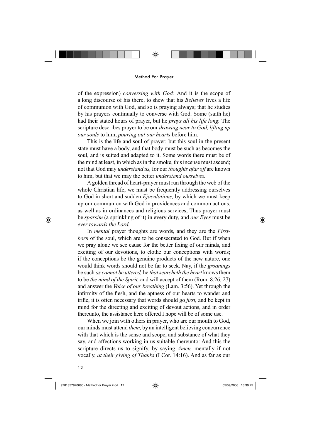

of the expression) *conversing with God:* And it is the scope of a long discourse of his there, to shew that his *Believer* lives a life of communion with God, and so is praying always; that he studies by his prayers continually to converse with God. Some (saith he) had their stated hours of prayer, but he *prays all his life long.* The scripture describes prayer to be our *drawing near to God, lifting up our souls* to him, *pouring out our hearts* before him.

This is the life and soul of prayer; but this soul in the present state must have a body, and that body must be such as becomes the soul, and is suited and adapted to it. Some words there must be of the mind at least, in which as in the smoke, this incense must ascend; not that God may *understand us,* for our *thoughts afar off* are known to him, but that we may the better *understand ourselves.*

A golden thread of heart-prayer must run through the web of the whole Christian life; we must be frequently addressing ourselves to God in short and sudden *Ejaculations,* by which we must keep up our communion with God in providences and common actions, as well as in ordinances and religious services, Thus prayer must be *sparsim* (a sprinkling of it) in every duty, and *our Eyes* must be *ever towards the Lord.*

In *mental* prayer thoughts are words, and they are the *Firstborn* of the soul, which are to be consecrated to God. But if when we pray alone we see cause for the better fixing of our minds, and exciting of our devotions, to clothe our conceptions with words; if the conceptions be the genuine products of the new nature, one would think words should not be far to seek. Nay, if the *groanings*  be such *as cannot be uttered,* he *that searcheth the heart* knows them to be *the mind of the Spirit,* and will accept of them (Rom. 8:26, 27) and answer the *Voice of our breathing* (Lam. 3:56). Yet through the infirmity of the flesh, and the aptness of our hearts to wander and trifle, it is often necessary that words should go *first*, and be kept in mind for the directing and exciting of devout actions, and in order thereunto, the assistance here offered I hope will be of some use.

When we join with others in prayer, who are our mouth to God, our minds must attend *them,* by an intelligent believing concurrence with that which is the sense and scope, and substance of what they say, and affections working in us suitable thereunto: And this the scripture directs us to signify, by saying *Amen,* mentally if not vocally, *at their giving of Thanks* (I Cor. 14:16). And as far as our

12

⊕

9781857920680 - Method for Prayer.indd 12  $\bigoplus$  78185792006 16:39:25  $|$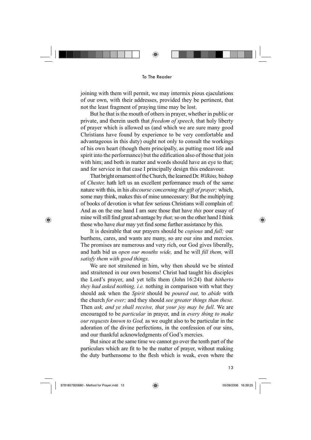

#### To The Reader

joining with them will permit, we may intermix pious ejaculations of our own, with their addresses, provided they be pertinent, that not the least fragment of praying time may be lost.

But he that is the mouth of others in prayer, whether in public or private, and therein useth that *freedom of speech,* that holy liberty of prayer which is allowed us (and which we are sure many good Christians have found by experience to be very comfortable and advantageous in this duty) ought not only to consult the workings of his own heart (though them principally, as putting most life and spirit into the performance) but the edification also of those that join with him; and both in matter and words should have an eye to that; and for service in that case I principally design this endeavour.

That bright ornament of the Church, the learned Dr. *Wilkins,* bishop of *Chester,* hath left us an excellent performance much of the same nature with this, in his *discourse concerning the gift of prayer;* which, some may think, makes this of mine unnecessary: But the multiplying of books of devotion is what few serious Christians will complain of: And as on the one hand I am sure those that have *this* poor essay of mine will still find great advantage by *that*; so on the other hand I think those who have *that* may yet find some further assistance by this.

It is desirable that our prayers should be *copious* and *full;* our burthens, cares, and wants are many, so are our sins and mercies. The promises are numerous and very rich, our God gives liberally, and hath bid us *open our mouths wide*, and he will *fill them*, will *satisfy them with good things.*

We are not straitened in him, why then should we be stinted and straitened in our own bosoms! Christ had taught his disciples the Lord's prayer, and yet tells them (John 16:24) that *hitherto they had asked nothing, i.e.* nothing in comparison with what they should ask when the *Spirit* should be *poured out,* to *abide* with the church *for ever;* and they should *see greater things than these.*  Then *ask, and ye shall receive, that your joy may be full.* We are encouraged to be *particular* in prayer, and in *every thing to make our requests known to God,* as we ought also to be particular in the adoration of the divine perfections, in the confession of our sins, and our thankful acknowledgments of God's mercies.

But since at the same time we cannot go over the tenth part of the particulars which are fit to be the matter of prayer, without making the duty burthensome to the flesh which is weak, even where the

⊕

⊕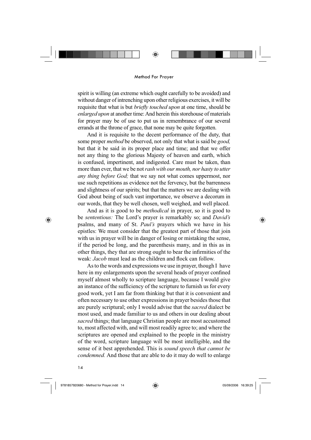

spirit is willing (an extreme which ought carefully to be avoided) and without danger of intrenching upon other religious exercises, it will be requisite that what is but *briefly touched upon* at one time, should be *enlarged upon* at another time: And herein this storehouse of materials for prayer may be of use to put us in remembrance of our several errands at the throne of grace, that none may be quite forgotten.

And it is requisite to the decent performance of the duty, that some proper *method* be observed, not only that what is said be *good,*  but that it be said in its proper place and time; and that we offer not any thing to the glorious Majesty of heaven and earth, which is confused, impertinent, and indigested. Care must be taken, than more than ever, that we be not *rash with our mouth, nor hasty to utter any thing before God;* that we say not what comes uppermost, nor use such repetitions as evidence not the fervency, but the barrenness and slightness of our spirits; but that the matters we are dealing with God about being of such vast importance, we observe a decorum in our words, that they be well chosen, well weighed, and well placed.

And as it is good to be *methodical* in prayer, so it is good to be *sententious:* The Lord's prayer is remarkably so; and *David's*  psalms, and many of St. *Paul's* prayers which we have in his epistles: We must consider that the greatest part of those that join with us in prayer will be in danger of losing or mistaking the sense, if the period be long, and the parenthesis many, and in this as in other things, they that are strong ought to bear the infirmities of the weak: *Jacob* must lead as the children and flock can follow.

As to the words and expressions we use in prayer, though I have here in my enlargements upon the several heads of prayer confined myself almost wholly to scripture language, because I would give an instance of the sufficiency of the scripture to furnish us for every good work, yet I am far from thinking but that it is convenient and often necessary to use other expressions in prayer besides those that are purely scriptural; only I would advise that the *sacred* dialect be most used, and made familiar to us and others in our dealing about *sacred* things; that language Christian people are most accustomed to, most affected with, and will most readily agree to; and where the scriptures are opened and explained to the people in the ministry of the word, scripture language will be most intelligible, and the sense of it best apprehended. This is *sound speech that cannot be condemned.* And those that are able to do it may do well to enlarge

14

 $\bigoplus$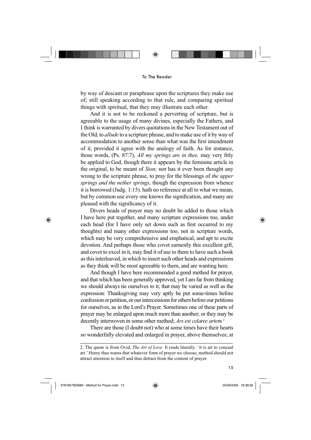

To The Reader

by way of descant or paraphrase upon the scriptures they make use of; still speaking according to that rule, and comparing spiritual things with spiritual, that they may illustrate each other.

And it is not to be reckoned a perverting of scripture, but is agreeable to the usage of many divines, especially the Fathers, and I think is warranted by divers quotations in the New Testament out of the Old, to *allude* to a scripture phrase, and to make use of it by way of accommodation to another sense than what was the first intendment of it, provided it agree with the analogy of faith. As for instance, those words, (Ps. 87:7), *All my springs are in thee*, may very fitly be applied to God, though there it appears by the feminine article in the original, to be meant of *Sion;* nor has it ever been thought any wrong to the scripture phrase, to pray for the blessings of *the upper springs and the nether springs,* though the expression from whence it is borrowed (Judg. 1:15). hath no reference at all to what we mean; but by common use every one knows the signification, and many are pleased with the significancy of it.

Divers heads of prayer may no doubt be added to those which I have here put together, and many scripture expressions too, under each head (for I have only set down such as first occurred to my thoughts) and many other expressions too, not in scripture words, which may be very comprehensive and emphatical, and apt to excite devotion. And perhaps those who covet earnestly this excellent gift, and covet to excel in it, may find it of use to them to have such a book as this interleaved, in which to insert such other heads and expressions as they think will be most agreeable to them, and are wanting here.

And though I have here recommended a good method for prayer, and that which has been generally approved, yet I am far from thinking we should always tie ourselves to it; that may be varied as well as the expression: Thanksgiving may very aptly be put some-times before confession or petition, or our intercessions for others before our petitions for ourselves, as in the Lord's Prayer. Sometimes one of these parts of prayer may be enlarged upon much more than another; or they may be decently interwoven in some other method; *Ars est celaree artem.*<sup>2</sup>

There are those (I doubt not) who at some times have their hearts so wonderfully elevated and enlarged in prayer, above themselves; at

9781857920680 - Method for Prayer.indd 15 (a) 3781857920680 - Method for Prayer.indd 15

⊕

⊕

<sup>2.</sup> The quote is from Ovid, *The Art of Love.* It reads literally: 'it is art to conceal art.' Henry thus warns that whatever form of prayer we choose, method should not attract attention to itself and thus detract from the content of prayer.